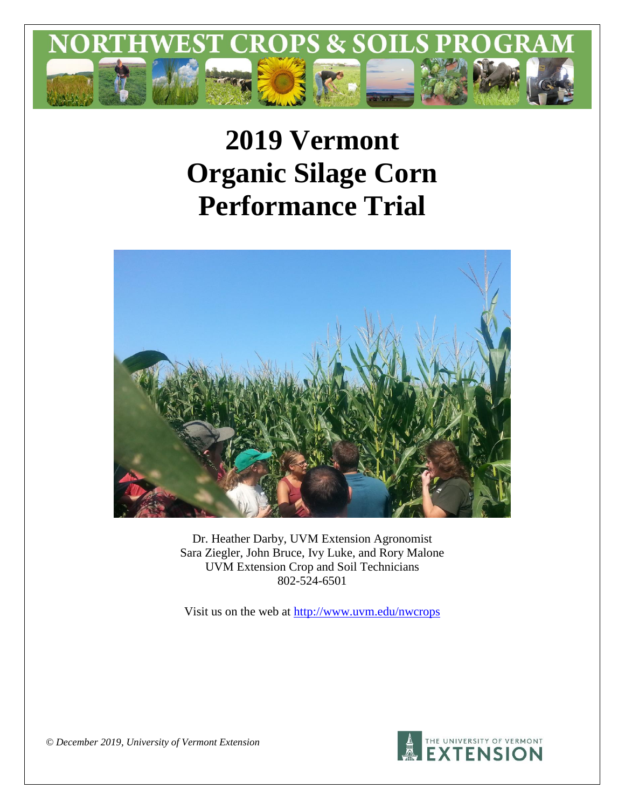

# **2019 Vermont Organic Silage Corn Performance Trial**



Dr. Heather Darby, UVM Extension Agronomist Sara Ziegler, John Bruce, Ivy Luke, and Rory Malone UVM Extension Crop and Soil Technicians 802-524-6501

Visit us on the web at<http://www.uvm.edu/nwcrops>



*© December 2019, University of Vermont Extension*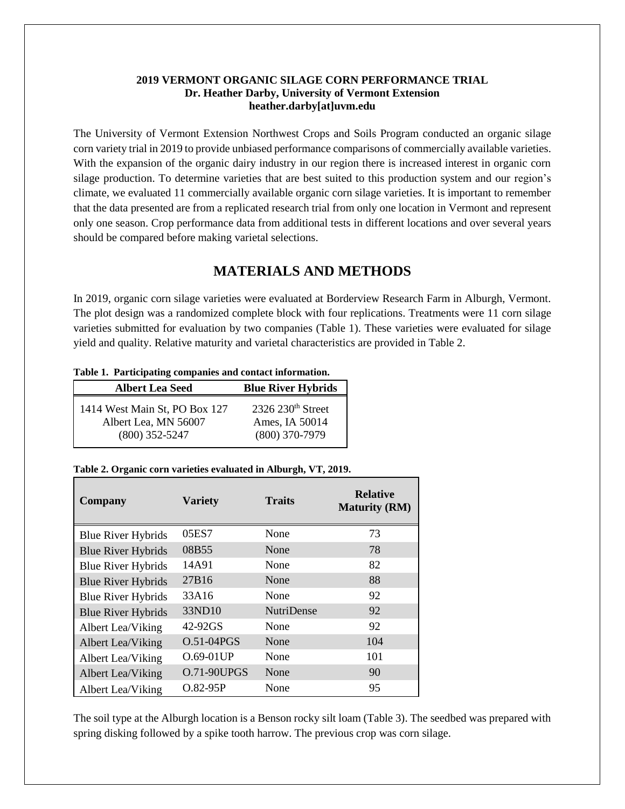#### **2019 VERMONT ORGANIC SILAGE CORN PERFORMANCE TRIAL Dr. Heather Darby, University of Vermont Extension heather.darby[at]uvm.edu**

The University of Vermont Extension Northwest Crops and Soils Program conducted an organic silage corn variety trial in 2019 to provide unbiased performance comparisons of commercially available varieties. With the expansion of the organic dairy industry in our region there is increased interest in organic corn silage production. To determine varieties that are best suited to this production system and our region's climate, we evaluated 11 commercially available organic corn silage varieties. It is important to remember that the data presented are from a replicated research trial from only one location in Vermont and represent only one season. Crop performance data from additional tests in different locations and over several years should be compared before making varietal selections.

# **MATERIALS AND METHODS**

In 2019, organic corn silage varieties were evaluated at Borderview Research Farm in Alburgh, Vermont. The plot design was a randomized complete block with four replications. Treatments were 11 corn silage varieties submitted for evaluation by two companies (Table 1). These varieties were evaluated for silage yield and quality. Relative maturity and varietal characteristics are provided in Table 2.

|  |  |  | Table 1. Participating companies and contact information. |
|--|--|--|-----------------------------------------------------------|
|--|--|--|-----------------------------------------------------------|

| <b>Albert Lea Seed</b>        | <b>Blue River Hybrids</b> |
|-------------------------------|---------------------------|
| 1414 West Main St, PO Box 127 | $2326$ $230th$ Street     |
| Albert Lea, MN 56007          | Ames, IA 50014            |
| $(800)$ 352-5247              | $(800)$ 370-7979          |

#### **Table 2. Organic corn varieties evaluated in Alburgh, VT, 2019.**

| <b>Company</b>            | <b>Variety</b>     | <b>Traits</b>     | <b>Relative</b><br><b>Maturity (RM)</b> |
|---------------------------|--------------------|-------------------|-----------------------------------------|
| <b>Blue River Hybrids</b> | 05ES7              | None              | 73                                      |
| <b>Blue River Hybrids</b> | 08B55              | None              | 78                                      |
| <b>Blue River Hybrids</b> | 14A91              | None              | 82                                      |
| <b>Blue River Hybrids</b> | 27B16              | None              | 88                                      |
| <b>Blue River Hybrids</b> | 33A16              | None              | 92                                      |
| <b>Blue River Hybrids</b> | 33ND10             | <b>NutriDense</b> | 92                                      |
| Albert Lea/Viking         | 42-92GS            | None              | 92                                      |
| Albert Lea/Viking         | $O.51 - 04PGS$     | None              | 104                                     |
| Albert Lea/Viking         | O.69-01UP          | None              | 101                                     |
| Albert Lea/Viking         | <b>O.71-90UPGS</b> | None              | 90                                      |
| Albert Lea/Viking         | $O.82 - 95P$       | None              | 95                                      |

The soil type at the Alburgh location is a Benson rocky silt loam (Table 3). The seedbed was prepared with spring disking followed by a spike tooth harrow. The previous crop was corn silage.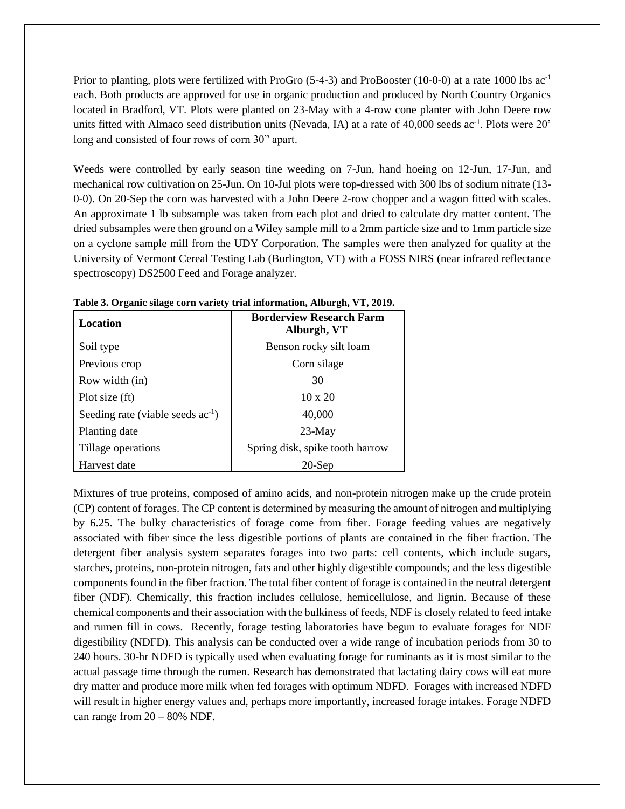Prior to planting, plots were fertilized with ProGro  $(5-4-3)$  and ProBooster (10-0-0) at a rate 1000 lbs ac<sup>-1</sup> each. Both products are approved for use in organic production and produced by North Country Organics located in Bradford, VT. Plots were planted on 23-May with a 4-row cone planter with John Deere row units fitted with Almaco seed distribution units (Nevada, IA) at a rate of 40,000 seeds ac<sup>-1</sup>. Plots were 20' long and consisted of four rows of corn 30" apart.

Weeds were controlled by early season tine weeding on 7-Jun, hand hoeing on 12-Jun, 17-Jun, and mechanical row cultivation on 25-Jun. On 10-Jul plots were top-dressed with 300 lbs of sodium nitrate (13- 0-0). On 20-Sep the corn was harvested with a John Deere 2-row chopper and a wagon fitted with scales. An approximate 1 lb subsample was taken from each plot and dried to calculate dry matter content. The dried subsamples were then ground on a Wiley sample mill to a 2mm particle size and to 1mm particle size on a cyclone sample mill from the UDY Corporation. The samples were then analyzed for quality at the University of Vermont Cereal Testing Lab (Burlington, VT) with a FOSS NIRS (near infrared reflectance spectroscopy) DS2500 Feed and Forage analyzer.

| Location                               | <b>Borderview Research Farm</b><br>Alburgh, VT |  |  |  |  |
|----------------------------------------|------------------------------------------------|--|--|--|--|
| Soil type                              | Benson rocky silt loam                         |  |  |  |  |
| Previous crop                          | Corn silage                                    |  |  |  |  |
| Row width (in)                         | 30                                             |  |  |  |  |
| Plot size (ft)                         | $10 \times 20$                                 |  |  |  |  |
| Seeding rate (viable seeds $ac^{-1}$ ) | 40,000                                         |  |  |  |  |
| Planting date                          | $23-May$                                       |  |  |  |  |
| Tillage operations                     | Spring disk, spike tooth harrow                |  |  |  |  |
| Harvest date                           | $20$ -Sep                                      |  |  |  |  |

**Table 3. Organic silage corn variety trial information, Alburgh, VT, 2019.**

Mixtures of true proteins, composed of amino acids, and non-protein nitrogen make up the crude protein (CP) content of forages. The CP content is determined by measuring the amount of nitrogen and multiplying by 6.25. The bulky characteristics of forage come from fiber. Forage feeding values are negatively associated with fiber since the less digestible portions of plants are contained in the fiber fraction. The detergent fiber analysis system separates forages into two parts: cell contents, which include sugars, starches, proteins, non-protein nitrogen, fats and other highly digestible compounds; and the less digestible components found in the fiber fraction. The total fiber content of forage is contained in the neutral detergent fiber (NDF). Chemically, this fraction includes cellulose, hemicellulose, and lignin. Because of these chemical components and their association with the bulkiness of feeds, NDF is closely related to feed intake and rumen fill in cows. Recently, forage testing laboratories have begun to evaluate forages for NDF digestibility (NDFD). This analysis can be conducted over a wide range of incubation periods from 30 to 240 hours. 30-hr NDFD is typically used when evaluating forage for ruminants as it is most similar to the actual passage time through the rumen. Research has demonstrated that lactating dairy cows will eat more dry matter and produce more milk when fed forages with optimum NDFD. Forages with increased NDFD will result in higher energy values and, perhaps more importantly, increased forage intakes. Forage NDFD can range from  $20 - 80\%$  NDF.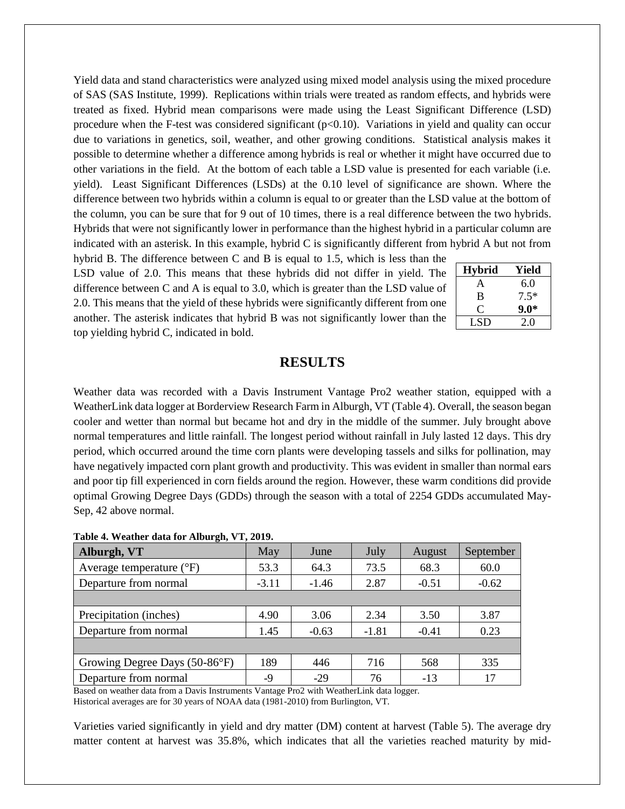Yield data and stand characteristics were analyzed using mixed model analysis using the mixed procedure of SAS (SAS Institute, 1999). Replications within trials were treated as random effects, and hybrids were treated as fixed. Hybrid mean comparisons were made using the Least Significant Difference (LSD) procedure when the F-test was considered significant  $(p<0.10)$ . Variations in yield and quality can occur due to variations in genetics, soil, weather, and other growing conditions. Statistical analysis makes it possible to determine whether a difference among hybrids is real or whether it might have occurred due to other variations in the field. At the bottom of each table a LSD value is presented for each variable (i.e. yield). Least Significant Differences (LSDs) at the 0.10 level of significance are shown. Where the difference between two hybrids within a column is equal to or greater than the LSD value at the bottom of the column, you can be sure that for 9 out of 10 times, there is a real difference between the two hybrids. Hybrids that were not significantly lower in performance than the highest hybrid in a particular column are indicated with an asterisk. In this example, hybrid C is significantly different from hybrid A but not from

hybrid B. The difference between C and B is equal to 1.5, which is less than the LSD value of 2.0. This means that these hybrids did not differ in yield. The difference between C and A is equal to 3.0, which is greater than the LSD value of 2.0. This means that the yield of these hybrids were significantly different from one another. The asterisk indicates that hybrid B was not significantly lower than the top yielding hybrid C, indicated in bold.

| <b>Hybrid</b> | Yield  |
|---------------|--------|
| A             | 6.0    |
| B             | $7.5*$ |
| G.            | $9.0*$ |
| LSD           | 20     |

### **RESULTS**

Weather data was recorded with a Davis Instrument Vantage Pro2 weather station, equipped with a WeatherLink data logger at Borderview Research Farm in Alburgh, VT (Table 4). Overall, the season began cooler and wetter than normal but became hot and dry in the middle of the summer. July brought above normal temperatures and little rainfall. The longest period without rainfall in July lasted 12 days. This dry period, which occurred around the time corn plants were developing tassels and silks for pollination, may have negatively impacted corn plant growth and productivity. This was evident in smaller than normal ears and poor tip fill experienced in corn fields around the region. However, these warm conditions did provide optimal Growing Degree Days (GDDs) through the season with a total of 2254 GDDs accumulated May-Sep, 42 above normal.

| Alburgh, VT                       | May     | June    | July    | August  | September |
|-----------------------------------|---------|---------|---------|---------|-----------|
| Average temperature $(^{\circ}F)$ | 53.3    | 64.3    | 73.5    | 68.3    | 60.0      |
| Departure from normal             | $-3.11$ | $-1.46$ | 2.87    | $-0.51$ | $-0.62$   |
|                                   |         |         |         |         |           |
| Precipitation (inches)            | 4.90    | 3.06    | 2.34    | 3.50    | 3.87      |
| Departure from normal             | 1.45    | $-0.63$ | $-1.81$ | $-0.41$ | 0.23      |
|                                   |         |         |         |         |           |
| Growing Degree Days (50-86°F)     | 189     | 446     | 716     | 568     | 335       |
| Departure from normal             | -9      | $-29$   | 76      | $-13$   | 17        |

|  | Table 4. Weather data for Alburgh, VT, 2019. |  |  |  |  |  |
|--|----------------------------------------------|--|--|--|--|--|
|--|----------------------------------------------|--|--|--|--|--|

Based on weather data from a Davis Instruments Vantage Pro2 with WeatherLink data logger. Historical averages are for 30 years of NOAA data (1981-2010) from Burlington, VT.

Varieties varied significantly in yield and dry matter (DM) content at harvest (Table 5). The average dry matter content at harvest was 35.8%, which indicates that all the varieties reached maturity by mid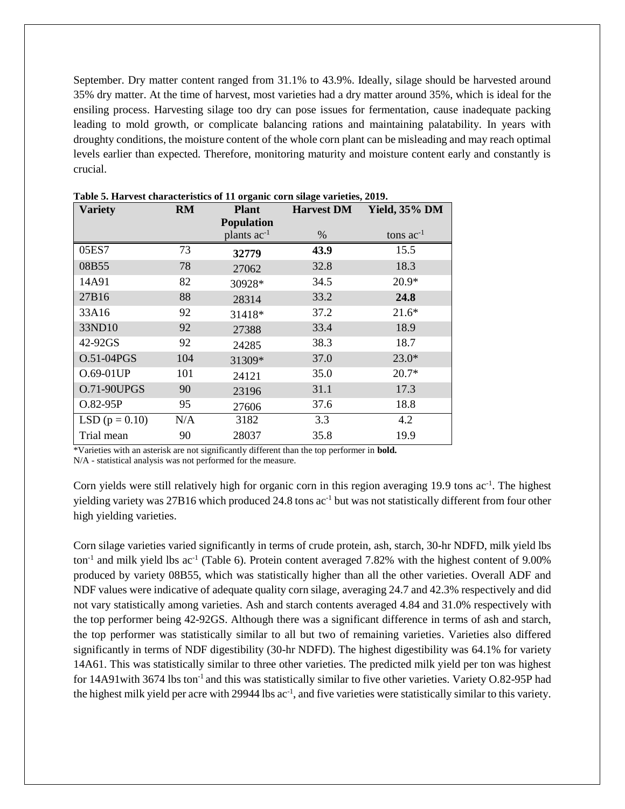September. Dry matter content ranged from 31.1% to 43.9%. Ideally, silage should be harvested around 35% dry matter. At the time of harvest, most varieties had a dry matter around 35%, which is ideal for the ensiling process. Harvesting silage too dry can pose issues for fermentation, cause inadequate packing leading to mold growth, or complicate balancing rations and maintaining palatability. In years with droughty conditions, the moisture content of the whole corn plant can be misleading and may reach optimal levels earlier than expected. Therefore, monitoring maturity and moisture content early and constantly is crucial.

| <b>Variety</b>     | <b>RM</b> | <b>Plant</b>                          | <b>Harvest DM</b> | <b>Yield, 35% DM</b> |  |
|--------------------|-----------|---------------------------------------|-------------------|----------------------|--|
|                    |           | <b>Population</b><br>plants $ac^{-1}$ | $\%$              | tons $ac^{-1}$       |  |
|                    |           |                                       |                   |                      |  |
| 05ES7              | 73        | 32779                                 | 43.9              | 15.5                 |  |
| 08B55              | 78        | 27062                                 | 32.8              | 18.3                 |  |
| 14A91              | 82        | 30928*                                | 34.5              | $20.9*$              |  |
| 27B16              | 88        | 28314                                 | 33.2              | 24.8                 |  |
| 33A16              | 92        | 31418*                                | 37.2              | $21.6*$              |  |
| 33ND10             | 92        | 27388                                 | 33.4              | 18.9                 |  |
| 42-92GS            | 92        | 24285                                 | 38.3              | 18.7                 |  |
| O.51-04PGS         | 104       | 31309*                                | 37.0              | $23.0*$              |  |
| O.69-01UP          | 101       | 24121                                 | 35.0              | $20.7*$              |  |
| <b>O.71-90UPGS</b> | 90        | 23196                                 | 31.1              | 17.3                 |  |
| O.82-95P           | 95        | 27606                                 | 37.6              | 18.8                 |  |
| LSD ( $p = 0.10$ ) | N/A       | 3182                                  | 3.3               | 4.2                  |  |
| Trial mean         | 90        | 28037                                 | 35.8              | 19.9                 |  |

**Table 5. Harvest characteristics of 11 organic corn silage varieties, 2019.**

\*Varieties with an asterisk are not significantly different than the top performer in **bold.**

N/A - statistical analysis was not performed for the measure.

Corn yields were still relatively high for organic corn in this region averaging 19.9 tons ac<sup>-1</sup>. The highest yielding variety was 27B16 which produced 24.8 tons ac<sup>-1</sup> but was not statistically different from four other high yielding varieties.

Corn silage varieties varied significantly in terms of crude protein, ash, starch, 30-hr NDFD, milk yield lbs ton<sup>-1</sup> and milk yield lbs ac<sup>-1</sup> (Table 6). Protein content averaged 7.82% with the highest content of 9.00% produced by variety 08B55, which was statistically higher than all the other varieties. Overall ADF and NDF values were indicative of adequate quality corn silage, averaging 24.7 and 42.3% respectively and did not vary statistically among varieties. Ash and starch contents averaged 4.84 and 31.0% respectively with the top performer being 42-92GS. Although there was a significant difference in terms of ash and starch, the top performer was statistically similar to all but two of remaining varieties. Varieties also differed significantly in terms of NDF digestibility (30-hr NDFD). The highest digestibility was 64.1% for variety 14A61. This was statistically similar to three other varieties. The predicted milk yield per ton was highest for 14A91 with 3674 lbs ton<sup>-1</sup> and this was statistically similar to five other varieties. Variety O.82-95P had the highest milk yield per acre with 29944 lbs ac<sup>-1</sup>, and five varieties were statistically similar to this variety.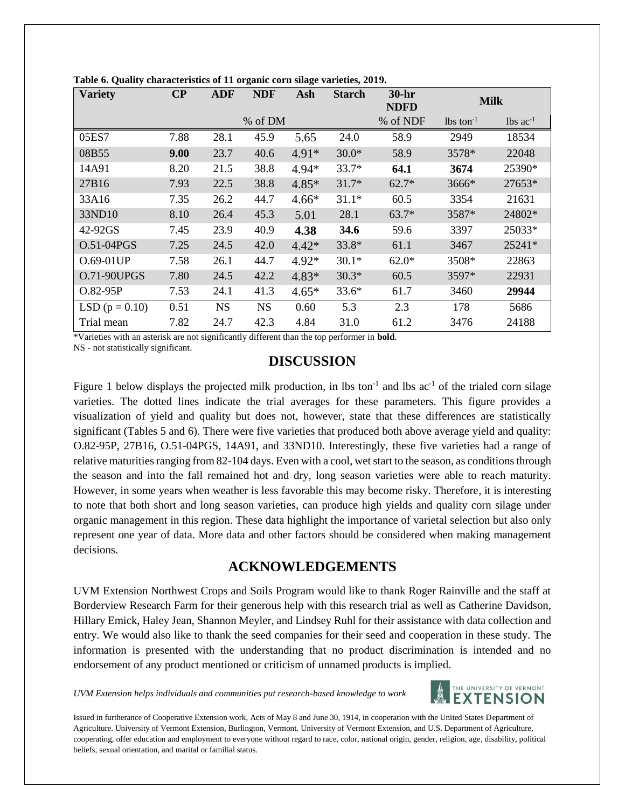| <b>Variety</b>     | $\bf CP$ | <b>ADF</b> | <b>NDF</b> | Ash     | <b>Starch</b> | $30-hr$<br><b>NDFD</b> | <b>Milk</b>             |                               |
|--------------------|----------|------------|------------|---------|---------------|------------------------|-------------------------|-------------------------------|
|                    |          |            | % of DM    |         |               | % of NDF               | $lbs$ ton <sup>-1</sup> | $\text{lbs}$ ac <sup>-1</sup> |
| 05ES7              | 7.88     | 28.1       | 45.9       | 5.65    | 24.0          | 58.9                   | 2949                    | 18534                         |
| 08B55              | 9.00     | 23.7       | 40.6       | $4.91*$ | $30.0*$       | 58.9                   | 3578*                   | 22048                         |
| 14A91              | 8.20     | 21.5       | 38.8       | $4.94*$ | $33.7*$       | 64.1                   | 3674                    | 25390*                        |
| 27B16              | 7.93     | 22.5       | 38.8       | $4.85*$ | $31.7*$       | $62.7*$                | 3666*                   | 27653*                        |
| 33A16              | 7.35     | 26.2       | 44.7       | $4.66*$ | $31.1*$       | 60.5                   | 3354                    | 21631                         |
| 33ND10             | 8.10     | 26.4       | 45.3       | 5.01    | 28.1          | $63.7*$                | 3587*                   | 24802*                        |
| 42-92GS            | 7.45     | 23.9       | 40.9       | 4.38    | 34.6          | 59.6                   | 3397                    | 25033*                        |
| O.51-04PGS         | 7.25     | 24.5       | 42.0       | $4.42*$ | $33.8*$       | 61.1                   | 3467                    | 25241*                        |
| O.69-01UP          | 7.58     | 26.1       | 44.7       | $4.92*$ | $30.1*$       | $62.0*$                | 3508*                   | 22863                         |
| <b>O.71-90UPGS</b> | 7.80     | 24.5       | 42.2       | $4.83*$ | $30.3*$       | 60.5                   | 3597*                   | 22931                         |
| $O.82-95P$         | 7.53     | 24.1       | 41.3       | $4.65*$ | $33.6*$       | 61.7                   | 3460                    | 29944                         |
| LSD $(p = 0.10)$   | 0.51     | <b>NS</b>  | <b>NS</b>  | 0.60    | 5.3           | 2.3                    | 178                     | 5686                          |
| Trial mean         | 7.82     | 24.7       | 42.3       | 4.84    | 31.0          | 61.2                   | 3476                    | 24188                         |

**Table 6. Quality characteristics of 11 organic corn silage varieties, 2019.**

\*Varieties with an asterisk are not significantly different than the top performer in **bold**.

NS - not statistically significant.

## **DISCUSSION**

Figure 1 below displays the projected milk production, in lbs ton<sup>-1</sup> and lbs ac<sup>-1</sup> of the trialed corn silage varieties. The dotted lines indicate the trial averages for these parameters. This figure provides a visualization of yield and quality but does not, however, state that these differences are statistically significant (Tables 5 and 6). There were five varieties that produced both above average yield and quality: O.82-95P, 27B16, O.51-04PGS, 14A91, and 33ND10. Interestingly, these five varieties had a range of relative maturities ranging from 82-104 days. Even with a cool, wet start to the season, as conditions through the season and into the fall remained hot and dry, long season varieties were able to reach maturity. However, in some years when weather is less favorable this may become risky. Therefore, it is interesting to note that both short and long season varieties, can produce high yields and quality corn silage under organic management in this region. These data highlight the importance of varietal selection but also only represent one year of data. More data and other factors should be considered when making management decisions.

## **ACKNOWLEDGEMENTS**

UVM Extension Northwest Crops and Soils Program would like to thank Roger Rainville and the staff at Borderview Research Farm for their generous help with this research trial as well as Catherine Davidson, Hillary Emick, Haley Jean, Shannon Meyler, and Lindsey Ruhl for their assistance with data collection and entry. We would also like to thank the seed companies for their seed and cooperation in these study. The information is presented with the understanding that no product discrimination is intended and no endorsement of any product mentioned or criticism of unnamed products is implied.

*UVM Extension helps individuals and communities put research-based knowledge to work*



Issued in furtherance of Cooperative Extension work, Acts of May 8 and June 30, 1914, in cooperation with the United States Department of Agriculture. University of Vermont Extension, Burlington, Vermont. University of Vermont Extension, and U.S. Department of Agriculture, cooperating, offer education and employment to everyone without regard to race, color, national origin, gender, religion, age, disability, political beliefs, sexual orientation, and marital or familial status.